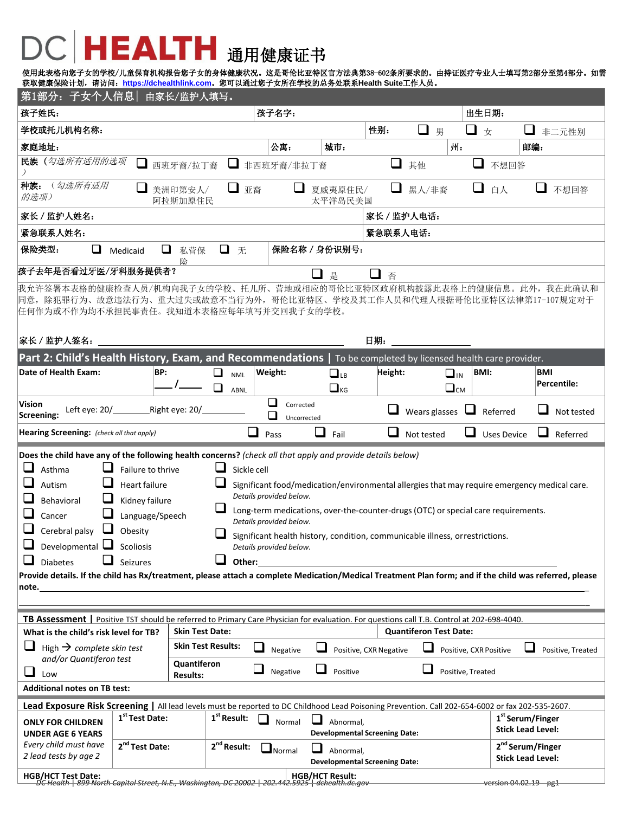## HEALTH 通用健康证书 DC

使用此表格向您子女的学校/儿童保育机构报告您子女的身体健康状况。这是哥伦比亚特区官方法典第38-602条所要求的。由持证医疗专业人士填写第2部分至第4部分。如需 获取健康保险计划,请访问:**[https://dchealthlink.com](https://dchealthlink.com/)**。您可以通过您子女所在学校的总务处联系**Health Suite**工作人员。

| 第1部分:子女个人信息  由家长/监护人填写。                                                                                                                                                                                                                                                                                                                                                                                                                                                                                                                                                                                                                                                                                                                                                                                                                                                              |                                                                                                                   |                                    |                                                                |                                                 |                                             |                                                                                                                      |  |  |  |
|--------------------------------------------------------------------------------------------------------------------------------------------------------------------------------------------------------------------------------------------------------------------------------------------------------------------------------------------------------------------------------------------------------------------------------------------------------------------------------------------------------------------------------------------------------------------------------------------------------------------------------------------------------------------------------------------------------------------------------------------------------------------------------------------------------------------------------------------------------------------------------------|-------------------------------------------------------------------------------------------------------------------|------------------------------------|----------------------------------------------------------------|-------------------------------------------------|---------------------------------------------|----------------------------------------------------------------------------------------------------------------------|--|--|--|
| 孩子姓氏:                                                                                                                                                                                                                                                                                                                                                                                                                                                                                                                                                                                                                                                                                                                                                                                                                                                                                |                                                                                                                   | 孩子名字:                              |                                                                |                                                 | 出生日期:                                       |                                                                                                                      |  |  |  |
| 学校或托儿机构名称:                                                                                                                                                                                                                                                                                                                                                                                                                                                                                                                                                                                                                                                                                                                                                                                                                                                                           |                                                                                                                   |                                    | 性别:                                                            | 口 男                                             | $\Box$<br>女                                 | ⊔<br>非二元性别                                                                                                           |  |  |  |
| 家庭地址:                                                                                                                                                                                                                                                                                                                                                                                                                                                                                                                                                                                                                                                                                                                                                                                                                                                                                |                                                                                                                   | 公寓:<br>城市:                         |                                                                | 州:                                              |                                             | 邮编:                                                                                                                  |  |  |  |
| 民族(勾选所有适用的选项                                                                                                                                                                                                                                                                                                                                                                                                                                                                                                                                                                                                                                                                                                                                                                                                                                                                         | $\sqcup$<br>西班牙裔/拉丁裔                                                                                              | 非西班牙裔/非拉丁裔                         | ⊔                                                              | 其他                                              | $\Box$<br>不想回答                              |                                                                                                                      |  |  |  |
| 种族:<br>( 勾选所有适用<br>的选项)                                                                                                                                                                                                                                                                                                                                                                                                                                                                                                                                                                                                                                                                                                                                                                                                                                                              | ⊔<br>亚裔<br>美洲印第安人/<br>阿拉斯加原住民                                                                                     |                                    | 夏威夷原住民/<br>太平洋岛民美国                                             | □ 黑人/非裔                                         | ⊔<br>白人                                     | ⊔<br>不想回答                                                                                                            |  |  |  |
| 家长 / 监护人姓名:                                                                                                                                                                                                                                                                                                                                                                                                                                                                                                                                                                                                                                                                                                                                                                                                                                                                          |                                                                                                                   |                                    |                                                                | 家长 / 监护人电话:                                     |                                             |                                                                                                                      |  |  |  |
| 紧急联系人姓名:                                                                                                                                                                                                                                                                                                                                                                                                                                                                                                                                                                                                                                                                                                                                                                                                                                                                             |                                                                                                                   |                                    | 紧急联系人电话:                                                       |                                                 |                                             |                                                                                                                      |  |  |  |
| 保险类型:<br>⊔<br>Medicaid                                                                                                                                                                                                                                                                                                                                                                                                                                                                                                                                                                                                                                                                                                                                                                                                                                                               | □ 私营保<br>口无                                                                                                       | 保险名称 / 身份识别号:                      |                                                                |                                                 |                                             |                                                                                                                      |  |  |  |
| 孩子去年是否看过牙医/牙科服务提供者?                                                                                                                                                                                                                                                                                                                                                                                                                                                                                                                                                                                                                                                                                                                                                                                                                                                                  | 除                                                                                                                 | $\Box$                             | ப                                                              |                                                 |                                             |                                                                                                                      |  |  |  |
| 是<br>否<br>我允许签署本表格的健康检查人员/机构向我子女的学校、托儿所、营地或相应的哥伦比亚特区政府机构披露此表格上的健康信息。此外,我在此确认和<br>同意,除犯罪行为、故意违法行为、重大过失或故意不当行为外,哥伦比亚特区、学校及其工作人员和代理人根据哥伦比亚特区法律第17-107规定对于<br>任何作为或不作为均不承担民事责任。我知道本表格应每年填写并交回我子女的学校。                                                                                                                                                                                                                                                                                                                                                                                                                                                                                                                                                                                                                                                                                     |                                                                                                                   |                                    |                                                                |                                                 |                                             |                                                                                                                      |  |  |  |
| 家长 / 监护人签名:                                                                                                                                                                                                                                                                                                                                                                                                                                                                                                                                                                                                                                                                                                                                                                                                                                                                          |                                                                                                                   |                                    | 日期:                                                            |                                                 |                                             |                                                                                                                      |  |  |  |
| Part 2: Child's Health History, Exam, and Recommendations   To be completed by licensed health care provider.<br>BP:<br>Date of Health Exam:                                                                                                                                                                                                                                                                                                                                                                                                                                                                                                                                                                                                                                                                                                                                         | <b>NML</b><br>ABNL                                                                                                | Weight:                            | Height:<br>$\Box$ LB<br>$\Box_{\text{KG}}$                     | $\Box$ <sub>IN</sub><br>$\square$ <sub>CM</sub> | <b>BMI:</b>                                 | <b>BMI</b><br>Percentile:                                                                                            |  |  |  |
| Vision<br>Screening:                                                                                                                                                                                                                                                                                                                                                                                                                                                                                                                                                                                                                                                                                                                                                                                                                                                                 |                                                                                                                   | $\Box$<br>Corrected<br>Uncorrected |                                                                | Wears glasses                                   | ⊔<br>Referred                               | Not tested                                                                                                           |  |  |  |
| Hearing Screening: (check all that apply)                                                                                                                                                                                                                                                                                                                                                                                                                                                                                                                                                                                                                                                                                                                                                                                                                                            |                                                                                                                   | Pass                               | Fail                                                           | Not tested                                      | ⊔<br><b>Uses Device</b>                     | ⊔<br>Referred                                                                                                        |  |  |  |
| Does the child have any of the following health concerns? (check all that apply and provide details below)<br>$\Box$<br>Sickle cell<br>Asthma<br>Failure to thrive<br>Significant food/medication/environmental allergies that may require emergency medical care.<br>Autism<br>Heart failure<br>Details provided below.<br>Kidney failure<br>Behavioral<br>Long-term medications, over-the-counter-drugs (OTC) or special care requirements.<br>Language/Speech<br>Cancer<br>Details provided below.<br>Cerebral palsy<br>Obesity<br>Significant health history, condition, communicable illness, orrestrictions.<br>Developmental Scoliosis<br>Details provided below.<br>Seizures<br>Other:<br><b>Diabetes</b><br>Provide details. If the child has Rx/treatment, please attach a complete Medication/Medical Treatment Plan form; and if the child was referred, please<br>note. |                                                                                                                   |                                    |                                                                |                                                 |                                             |                                                                                                                      |  |  |  |
| TB Assessment   Positive TST should be referred to Primary Care Physician for evaluation. For questions call T.B. Control at 202-698-4040.<br>What is the child's risk level for TB?<br>High $\rightarrow$ complete skin test<br>and/or Quantiferon test<br>$\sim$<br>Low<br><b>Additional notes on TB test:</b>                                                                                                                                                                                                                                                                                                                                                                                                                                                                                                                                                                     | <b>Skin Test Date:</b><br><b>Skin Test Results:</b><br>$\overline{\phantom{a}}$<br>Quantiferon<br><b>Results:</b> | Negative<br>Negative               | Positive, CXR Negative<br>Positive                             | <b>Quantiferon Test Date:</b>                   | Positive, CXR Positive<br>Positive, Treated | Positive, Treated                                                                                                    |  |  |  |
| Lead Exposure Risk Screening   All lead levels must be reported to DC Childhood Lead Poisoning Prevention. Call 202-654-6002 or fax 202-535-2607.                                                                                                                                                                                                                                                                                                                                                                                                                                                                                                                                                                                                                                                                                                                                    |                                                                                                                   |                                    |                                                                |                                                 |                                             |                                                                                                                      |  |  |  |
| 1 <sup>st</sup> Test Date:<br><b>ONLY FOR CHILDREN</b><br><b>UNDER AGE 6 YEARS</b><br>Every child must have<br>2 <sup>nd</sup> Test Date:<br>2 lead tests by age 2                                                                                                                                                                                                                                                                                                                                                                                                                                                                                                                                                                                                                                                                                                                   | 1 <sup>st</sup> Result:<br>2 <sup>nd</sup> Result:<br>ப                                                           | Normal<br>Normal                   | Abnormal,<br><b>Developmental Screening Date:</b><br>Abnormal, |                                                 |                                             | 1 <sup>st</sup> Serum/Finger<br><b>Stick Lead Level:</b><br>2 <sup>nd</sup> Serum/Finger<br><b>Stick Lead Level:</b> |  |  |  |
| <b>HGB/HCT Test Date:</b><br><del>DC Health   899 North Capitol Street, N.E., Washington, DC 20002   202.442.5925   dchealth.dc.gov</del>                                                                                                                                                                                                                                                                                                                                                                                                                                                                                                                                                                                                                                                                                                                                            |                                                                                                                   | <b>HGB/HCT Result:</b>             | <b>Developmental Screening Date:</b>                           |                                                 |                                             |                                                                                                                      |  |  |  |